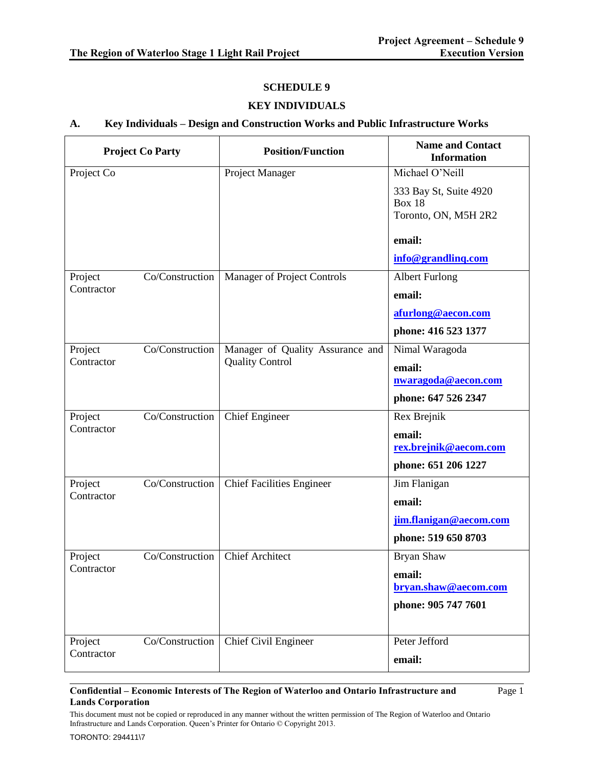### **SCHEDULE 9**

### **KEY INDIVIDUALS**

### **A. Key Individuals – Design and Construction Works and Public Infrastructure Works**

| <b>Project Co Party</b> |                 | <b>Position/Function</b>         | <b>Name and Contact</b><br><b>Information</b>                   |
|-------------------------|-----------------|----------------------------------|-----------------------------------------------------------------|
| Project Co              |                 | Project Manager                  | Michael O'Neill                                                 |
|                         |                 |                                  | 333 Bay St, Suite 4920<br><b>Box 18</b><br>Toronto, ON, M5H 2R2 |
|                         |                 |                                  | email:                                                          |
|                         |                 |                                  | info@grandlinq.com                                              |
| Project                 | Co/Construction | Manager of Project Controls      | <b>Albert Furlong</b>                                           |
| Contractor              |                 |                                  | email:                                                          |
|                         |                 |                                  | afurlong@aecon.com                                              |
|                         |                 |                                  | phone: 416 523 1377                                             |
| Project                 | Co/Construction | Manager of Quality Assurance and | Nimal Waragoda                                                  |
| Contractor              |                 | <b>Quality Control</b>           | email:                                                          |
|                         |                 |                                  | nwaragoda@aecon.com                                             |
|                         |                 |                                  | phone: 647 526 2347                                             |
| Project                 | Co/Construction | <b>Chief Engineer</b>            | Rex Brejnik                                                     |
| Contractor              |                 |                                  | email:                                                          |
|                         |                 |                                  | rex.brejnik@aecom.com                                           |
|                         |                 |                                  | phone: 651 206 1227                                             |
| Project                 | Co/Construction | <b>Chief Facilities Engineer</b> | Jim Flanigan                                                    |
| Contractor              |                 |                                  | email:                                                          |
|                         |                 |                                  | jim.flanigan@aecom.com                                          |
|                         |                 |                                  | phone: 519 650 8703                                             |
| Project                 | Co/Construction | <b>Chief Architect</b>           | Bryan Shaw                                                      |
| Contractor              |                 |                                  | email:                                                          |
|                         |                 |                                  | bryan.shaw@aecom.com                                            |
|                         |                 |                                  | phone: 905 747 7601                                             |
|                         |                 |                                  |                                                                 |
| Project                 | Co/Construction | Chief Civil Engineer             | Peter Jefford                                                   |
| Contractor              |                 |                                  | email:                                                          |

### **Confidential – Economic Interests of The Region of Waterloo and Ontario Infrastructure and Lands Corporation**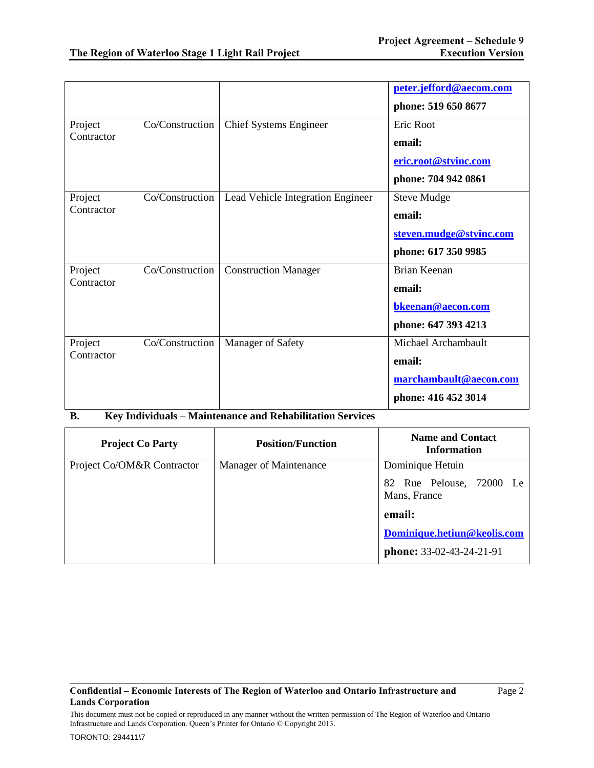|            |                 |                                   | peter.jefford@aecom.com |
|------------|-----------------|-----------------------------------|-------------------------|
|            |                 |                                   | phone: 519 650 8677     |
| Project    | Co/Construction | <b>Chief Systems Engineer</b>     | Eric Root               |
| Contractor |                 |                                   | email:                  |
|            |                 |                                   | eric.root@stvinc.com    |
|            |                 |                                   | phone: 704 942 0861     |
| Project    | Co/Construction | Lead Vehicle Integration Engineer | <b>Steve Mudge</b>      |
| Contractor |                 |                                   | email:                  |
|            |                 |                                   | steven.mudge@stvinc.com |
|            |                 |                                   | phone: 617 350 9985     |
| Project    | Co/Construction | <b>Construction Manager</b>       | Brian Keenan            |
| Contractor |                 |                                   | email:                  |
|            |                 |                                   | bkeenan@aecon.com       |
|            |                 |                                   | phone: 647 393 4213     |
| Project    | Co/Construction | Manager of Safety                 | Michael Archambault     |
| Contractor |                 |                                   | email:                  |
|            |                 |                                   | marchambault@aecon.com  |
|            |                 |                                   | phone: 416 452 3014     |

## **B. Key Individuals – Maintenance and Rehabilitation Services**

| <b>Project Co Party</b>    | <b>Position/Function</b> | <b>Name and Contact</b><br><b>Information</b> |
|----------------------------|--------------------------|-----------------------------------------------|
| Project Co/OM&R Contractor | Manager of Maintenance   | Dominique Hetuin                              |
|                            |                          | 82 Rue Pelouse, 72000 Le<br>Mans, France      |
|                            |                          | email:                                        |
|                            |                          | Dominique.hetiun@keolis.com                   |
|                            |                          | phone: 33-02-43-24-21-91                      |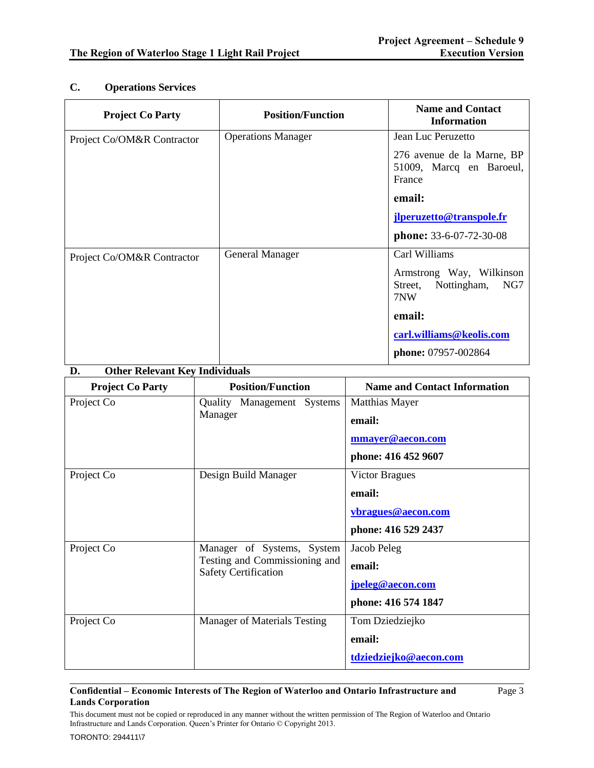# **C. Operations Services**

| <b>Project Co Party</b>    | <b>Position/Function</b>  | <b>Name and Contact</b><br><b>Information</b>                    |
|----------------------------|---------------------------|------------------------------------------------------------------|
| Project Co/OM&R Contractor | <b>Operations Manager</b> | Jean Luc Peruzetto                                               |
|                            |                           | 276 avenue de la Marne, BP<br>51009, Marcq en Baroeul,<br>France |
|                            |                           | email:                                                           |
|                            |                           | jlperuzetto@transpole.fr                                         |
|                            |                           | phone: 33-6-07-72-30-08                                          |
| Project Co/OM&R Contractor | <b>General Manager</b>    | Carl Williams                                                    |
|                            |                           | Armstrong Way, Wilkinson<br>Nottingham,<br>NG7<br>Street,<br>7NW |
|                            |                           | email:                                                           |
|                            |                           | carl.williams@keolis.com                                         |
|                            |                           | <b>phone:</b> 07957-002864                                       |

### **D. Other Relevant Key Individuals**

| <b>Project Co Party</b> | <b>Position/Function</b>                                                                   | <b>Name and Contact Information</b>                                          |
|-------------------------|--------------------------------------------------------------------------------------------|------------------------------------------------------------------------------|
| Project Co              | Quality Management Systems<br>Manager                                                      | <b>Matthias Mayer</b><br>email:<br>mmayer@aecon.com<br>phone: 416 452 9607   |
| Project Co              | Design Build Manager                                                                       | <b>Victor Bragues</b><br>email:<br>vbragues@aecon.com<br>phone: 416 529 2437 |
| Project Co              | Manager of Systems, System<br>Testing and Commissioning and<br><b>Safety Certification</b> | Jacob Peleg<br>email:<br>jpeleg@aecon.com<br>phone: 416 574 1847             |
| Project Co              | <b>Manager of Materials Testing</b>                                                        | Tom Dziedziejko<br>email:<br>tdziedziejko@aecon.com                          |

### **Confidential – Economic Interests of The Region of Waterloo and Ontario Infrastructure and Lands Corporation**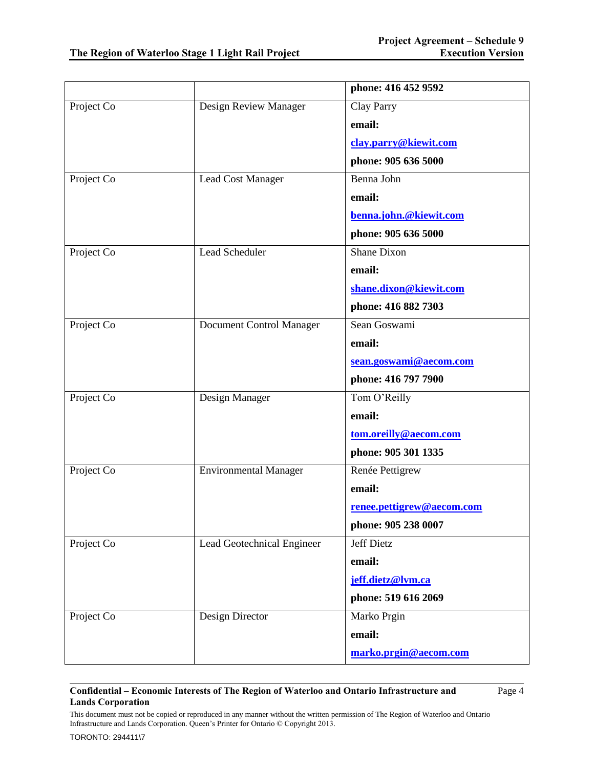|            |                              | phone: 416 452 9592       |
|------------|------------------------------|---------------------------|
| Project Co | Design Review Manager        | Clay Parry                |
|            |                              | email:                    |
|            |                              | clay.parry@kiewit.com     |
|            |                              | phone: 905 636 5000       |
| Project Co | Lead Cost Manager            | Benna John                |
|            |                              | email:                    |
|            |                              | benna.john.@kiewit.com    |
|            |                              | phone: 905 636 5000       |
| Project Co | <b>Lead Scheduler</b>        | <b>Shane Dixon</b>        |
|            |                              | email:                    |
|            |                              | shane.dixon@kiewit.com    |
|            |                              | phone: 416 882 7303       |
| Project Co | Document Control Manager     | Sean Goswami              |
|            |                              | email:                    |
|            |                              | sean.goswami@aecom.com    |
|            |                              | phone: 416 797 7900       |
| Project Co | Design Manager               | Tom O'Reilly              |
|            |                              | email:                    |
|            |                              | tom.oreilly@aecom.com     |
|            |                              | phone: 905 301 1335       |
| Project Co | <b>Environmental Manager</b> | Renée Pettigrew           |
|            |                              | email:                    |
|            |                              | renee.pettigrew@aecom.com |
|            |                              | phone: 905 238 0007       |
| Project Co | Lead Geotechnical Engineer   | <b>Jeff Dietz</b>         |
|            |                              | email:                    |
|            |                              | jeff.dietz@lvm.ca         |
|            |                              | phone: 519 616 2069       |
| Project Co | Design Director              | Marko Prgin               |
|            |                              | email:                    |
|            |                              | marko.prgin@aecom.com     |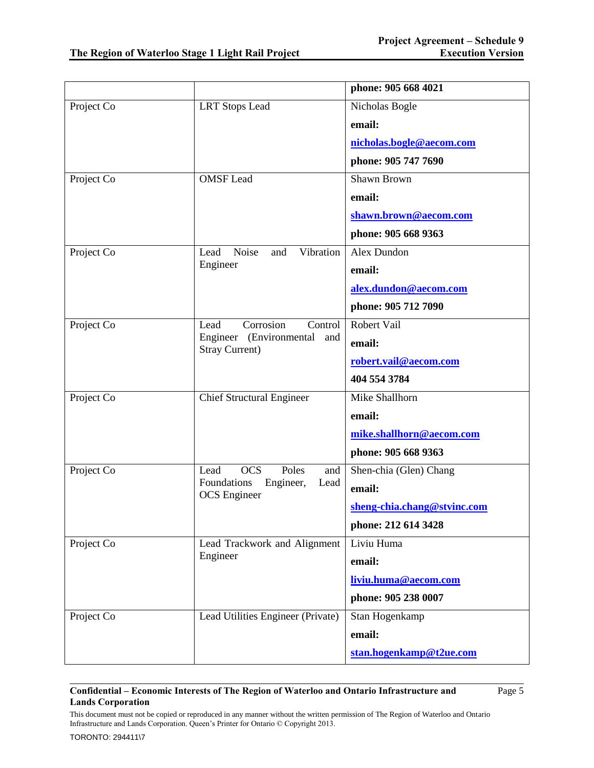|            |                                                         | phone: 905 668 4021         |
|------------|---------------------------------------------------------|-----------------------------|
| Project Co | <b>LRT</b> Stops Lead                                   | Nicholas Bogle              |
|            |                                                         | email:                      |
|            |                                                         | nicholas.bogle@aecom.com    |
|            |                                                         | phone: 905 747 7690         |
| Project Co | <b>OMSF</b> Lead                                        | Shawn Brown                 |
|            |                                                         | email:                      |
|            |                                                         | shawn.brown@aecom.com       |
|            |                                                         | phone: 905 668 9363         |
| Project Co | Vibration<br>Noise<br>and<br>Lead                       | Alex Dundon                 |
|            | Engineer                                                | email:                      |
|            |                                                         | alex.dundon@aecom.com       |
|            |                                                         | phone: 905 712 7090         |
| Project Co | Corrosion<br>Lead<br>Control                            | Robert Vail                 |
|            | Engineer (Environmental<br>and<br><b>Stray Current)</b> | email:                      |
|            |                                                         | robert.vail@aecom.com       |
|            |                                                         | 404 554 3784                |
| Project Co | <b>Chief Structural Engineer</b>                        | Mike Shallhorn              |
|            |                                                         | email:                      |
|            |                                                         | mike.shallhorn@aecom.com    |
|            |                                                         | phone: 905 668 9363         |
| Project Co | Lead<br><b>OCS</b><br>Poles<br>and                      | Shen-chia (Glen) Chang      |
|            | Foundations<br>Engineer,<br>Lead<br><b>OCS</b> Engineer | email:                      |
|            |                                                         | sheng-chia.chang@stvinc.com |
|            |                                                         | phone: 212 614 3428         |
| Project Co | Lead Trackwork and Alignment                            | Liviu Huma                  |
|            | Engineer                                                | email:                      |
|            |                                                         | liviu.huma@aecom.com        |
|            |                                                         | phone: 905 238 0007         |
| Project Co | Lead Utilities Engineer (Private)                       | Stan Hogenkamp              |
|            |                                                         | email:                      |
|            |                                                         | stan.hogenkamp@t2ue.com     |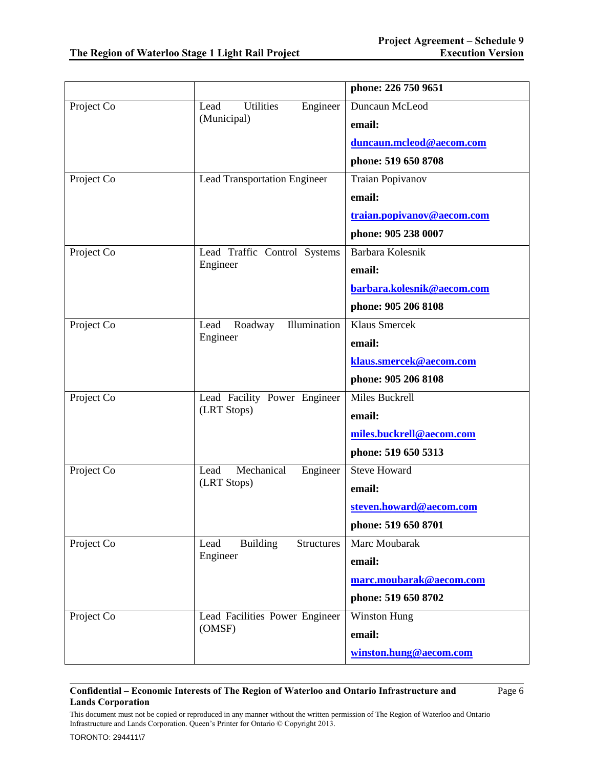|            |                                              | phone: 226 750 9651        |
|------------|----------------------------------------------|----------------------------|
| Project Co | <b>Utilities</b><br>Engineer<br>Lead         | Duncaun McLeod             |
|            | (Municipal)                                  | email:                     |
|            |                                              | duncaun.mcleod@aecom.com   |
|            |                                              | phone: 519 650 8708        |
| Project Co | <b>Lead Transportation Engineer</b>          | <b>Traian Popivanov</b>    |
|            |                                              | email:                     |
|            |                                              | traian.popivanov@aecom.com |
|            |                                              | phone: 905 238 0007        |
| Project Co | Lead Traffic Control Systems                 | Barbara Kolesnik           |
|            | Engineer                                     | email:                     |
|            |                                              | barbara.kolesnik@aecom.com |
|            |                                              | phone: 905 206 8108        |
| Project Co | Illumination<br>Lead<br>Roadway              | Klaus Smercek              |
|            | Engineer                                     | email:                     |
|            |                                              | klaus.smercek@aecom.com    |
|            |                                              | phone: 905 206 8108        |
| Project Co | Lead Facility Power Engineer                 | Miles Buckrell             |
|            | (LRT Stops)                                  | email:                     |
|            |                                              | miles.buckrell@aecom.com   |
|            |                                              | phone: 519 650 5313        |
| Project Co | Mechanical<br>Engineer<br>Lead               | <b>Steve Howard</b>        |
|            | (LRT Stops)                                  | email:                     |
|            |                                              | steven.howard@aecom.com    |
|            |                                              | phone: 519 650 8701        |
| Project Co | <b>Building</b><br><b>Structures</b><br>Lead | Marc Moubarak              |
|            | Engineer                                     | email:                     |
|            |                                              | marc.moubarak@aecom.com    |
|            |                                              | phone: 519 650 8702        |
| Project Co | Lead Facilities Power Engineer               | <b>Winston Hung</b>        |
|            | (OMSF)                                       | email:                     |
|            |                                              | winston.hung@aecom.com     |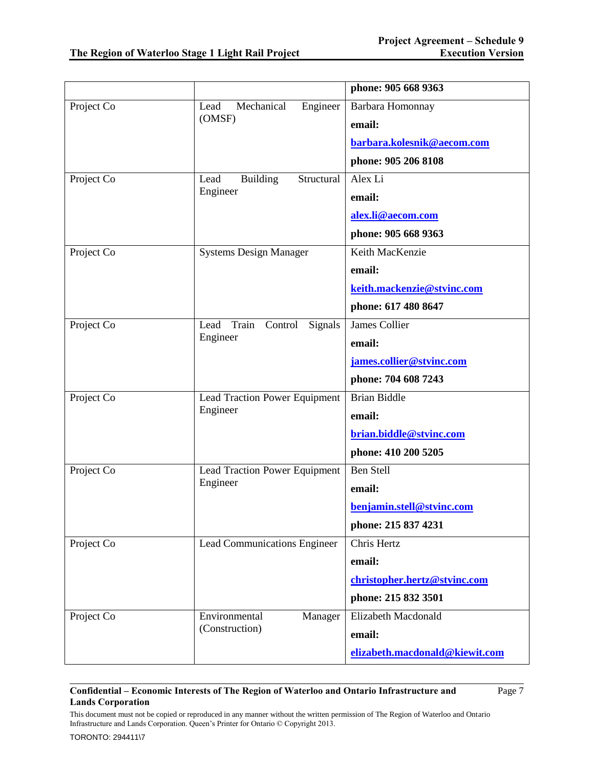|            |                                       | phone: 905 668 9363            |
|------------|---------------------------------------|--------------------------------|
| Project Co | Mechanical<br>Engineer<br>Lead        | Barbara Homonnay               |
|            | (OMSF)                                | email:                         |
|            |                                       | barbara.kolesnik@aecom.com     |
|            |                                       | phone: 905 206 8108            |
| Project Co | <b>Building</b><br>Structural<br>Lead | Alex Li                        |
|            | Engineer                              | email:                         |
|            |                                       | alex.li@aecom.com              |
|            |                                       | phone: 905 668 9363            |
| Project Co | <b>Systems Design Manager</b>         | Keith MacKenzie                |
|            |                                       | email:                         |
|            |                                       | keith.mackenzie@stvinc.com     |
|            |                                       | phone: 617 480 8647            |
| Project Co | Lead<br>Train<br>Control<br>Signals   | <b>James Collier</b>           |
|            | Engineer                              | email:                         |
|            |                                       | james.collier@stvinc.com       |
|            |                                       | phone: 704 608 7243            |
| Project Co | Lead Traction Power Equipment         | <b>Brian Biddle</b>            |
|            | Engineer                              | email:                         |
|            |                                       | brian.biddle@stvinc.com        |
|            |                                       | phone: 410 200 5205            |
| Project Co | Lead Traction Power Equipment         | <b>Ben Stell</b>               |
|            | Engineer                              | email:                         |
|            |                                       | benjamin.stell@stvinc.com      |
|            |                                       | phone: 215 837 4231            |
| Project Co | <b>Lead Communications Engineer</b>   | Chris Hertz                    |
|            |                                       | email:                         |
|            |                                       | christopher.hertz@stvinc.com   |
|            |                                       | phone: 215 832 3501            |
| Project Co | Environmental<br>Manager              | Elizabeth Macdonald            |
|            | (Construction)                        | email:                         |
|            |                                       | elizabeth.macdonald@kiewit.com |